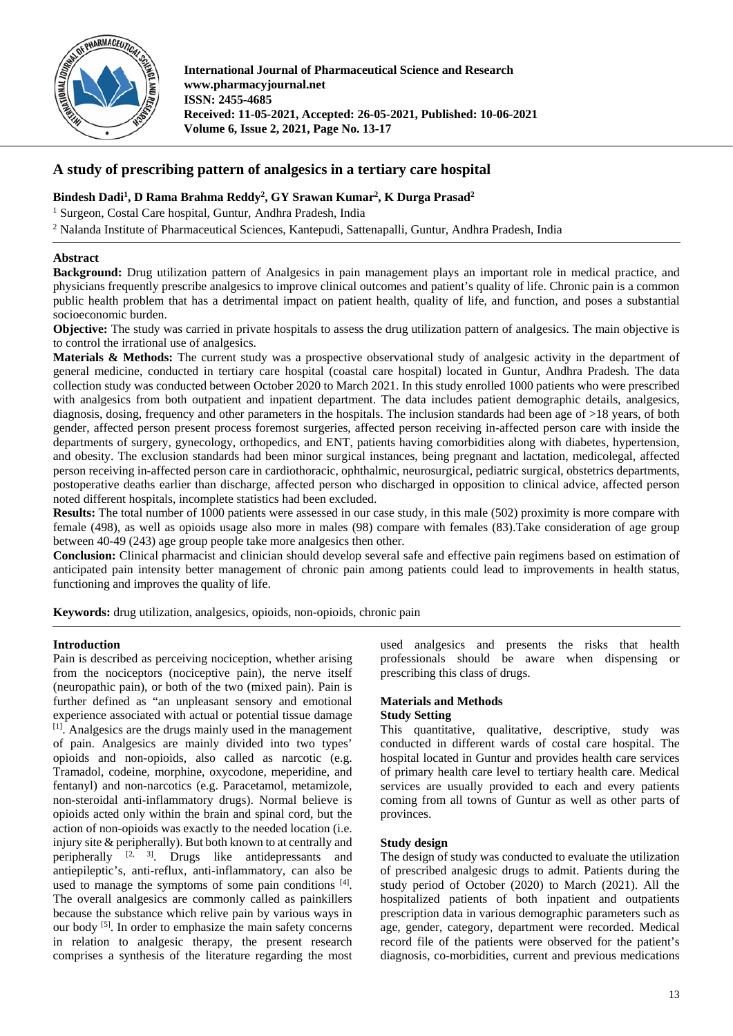

**International Journal of Pharmaceutical Science and Research www.pharmacyjournal.net ISSN: 2455-4685 Received: 11-05-2021, Accepted: 26-05-2021, Published: 10-06-2021 Volume 6, Issue 2, 2021, Page No. 13-17**

# **A study of prescribing pattern of analgesics in a tertiary care hospital**

## **Bindesh Dadi1 , D Rama Brahma Reddy2 , GY Srawan Kumar2 , K Durga Prasad2**

<sup>1</sup> Surgeon, Costal Care hospital, Guntur, Andhra Pradesh, India

<sup>2</sup> Nalanda Institute of Pharmaceutical Sciences, Kantepudi, Sattenapalli, Guntur, Andhra Pradesh, India

### **Abstract**

**Background:** Drug utilization pattern of Analgesics in pain management plays an important role in medical practice, and physicians frequently prescribe analgesics to improve clinical outcomes and patient's quality of life. Chronic pain is a common public health problem that has a detrimental impact on patient health, quality of life, and function, and poses a substantial socioeconomic burden.

**Objective:** The study was carried in private hospitals to assess the drug utilization pattern of analgesics. The main objective is to control the irrational use of analgesics.

**Materials & Methods:** The current study was a prospective observational study of analgesic activity in the department of general medicine, conducted in tertiary care hospital (coastal care hospital) located in Guntur, Andhra Pradesh. The data collection study was conducted between October 2020 to March 2021. In this study enrolled 1000 patients who were prescribed with analgesics from both outpatient and inpatient department. The data includes patient demographic details, analgesics, diagnosis, dosing, frequency and other parameters in the hospitals. The inclusion standards had been age of >18 years, of both gender, affected person present process foremost surgeries, affected person receiving in-affected person care with inside the departments of surgery, gynecology, orthopedics, and ENT, patients having comorbidities along with diabetes, hypertension, and obesity. The exclusion standards had been minor surgical instances, being pregnant and lactation, medicolegal, affected person receiving in-affected person care in cardiothoracic, ophthalmic, neurosurgical, pediatric surgical, obstetrics departments, postoperative deaths earlier than discharge, affected person who discharged in opposition to clinical advice, affected person noted different hospitals, incomplete statistics had been excluded.

**Results:** The total number of 1000 patients were assessed in our case study, in this male (502) proximity is more compare with female (498), as well as opioids usage also more in males (98) compare with females (83).Take consideration of age group between 40-49 (243) age group people take more analgesics then other.

**Conclusion:** Clinical pharmacist and clinician should develop several safe and effective pain regimens based on estimation of anticipated pain intensity better management of chronic pain among patients could lead to improvements in health status, functioning and improves the quality of life.

**Keywords:** drug utilization, analgesics, opioids, non-opioids, chronic pain

#### **Introduction**

Pain is described as perceiving nociception, whether arising from the nociceptors (nociceptive pain), the nerve itself (neuropathic pain), or both of the two (mixed pain). Pain is further defined as "an unpleasant sensory and emotional experience associated with actual or potential tissue damage [1] . Analgesics are the drugs mainly used in the management of pain. Analgesics are mainly divided into two types' opioids and non-opioids, also called as narcotic (e.g. Tramadol, codeine, morphine, oxycodone, meperidine, and fentanyl) and non-narcotics (e.g. Paracetamol, metamizole, non-steroidal anti-inflammatory drugs). Normal believe is opioids acted only within the brain and spinal cord, but the action of non-opioids was exactly to the needed location (i.e. injury site & peripherally). But both known to at centrally and peripherally  $[2, 3]$ . Drugs like antidepressants and antiepileptic's, anti-reflux, anti-inflammatory, can also be used to manage the symptoms of some pain conditions [4]. The overall analgesics are commonly called as painkillers because the substance which relive pain by various ways in our body <sup>[5]</sup>. In order to emphasize the main safety concerns in relation to analgesic therapy, the present research comprises a synthesis of the literature regarding the most

used analgesics and presents the risks that health professionals should be aware when dispensing or prescribing this class of drugs.

# **Materials and Methods**

# **Study Setting**

This quantitative, qualitative, descriptive, study was conducted in different wards of costal care hospital. The hospital located in Guntur and provides health care services of primary health care level to tertiary health care. Medical services are usually provided to each and every patients coming from all towns of Guntur as well as other parts of provinces.

## **Study design**

The design of study was conducted to evaluate the utilization of prescribed analgesic drugs to admit. Patients during the study period of October (2020) to March (2021). All the hospitalized patients of both inpatient and outpatients prescription data in various demographic parameters such as age, gender, category, department were recorded. Medical record file of the patients were observed for the patient's diagnosis, co-morbidities, current and previous medications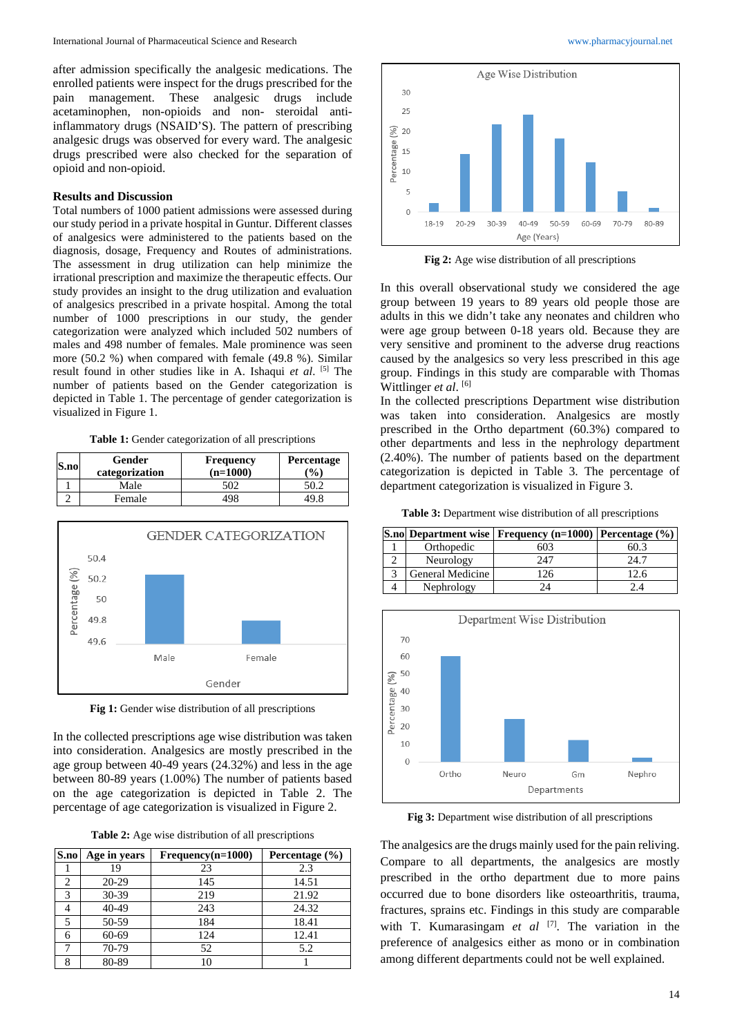after admission specifically the analgesic medications. The enrolled patients were inspect for the drugs prescribed for the pain management. These analgesic drugs include acetaminophen, non-opioids and non- steroidal antiinflammatory drugs (NSAID'S). The pattern of prescribing analgesic drugs was observed for every ward. The analgesic drugs prescribed were also checked for the separation of opioid and non-opioid.

### **Results and Discussion**

Total numbers of 1000 patient admissions were assessed during our study period in a private hospital in Guntur. Different classes of analgesics were administered to the patients based on the diagnosis, dosage, Frequency and Routes of administrations. The assessment in drug utilization can help minimize the irrational prescription and maximize the therapeutic effects. Our study provides an insight to the drug utilization and evaluation of analgesics prescribed in a private hospital. Among the total number of 1000 prescriptions in our study, the gender categorization were analyzed which included 502 numbers of males and 498 number of females. Male prominence was seen more (50.2 %) when compared with female (49.8 %). Similar result found in other studies like in A. Ishaqui *et al*. [5] The number of patients based on the Gender categorization is depicted in Table 1. The percentage of gender categorization is visualized in Figure 1.

**Table 1:** Gender categorization of all prescriptions

| S.no | Gender<br>categorization | <b>Frequency</b><br>$(n=1000)$ | Percentage<br>$\frac{1}{2}$ |
|------|--------------------------|--------------------------------|-----------------------------|
|      | Male                     |                                |                             |
|      | Female                   | 195                            |                             |



**Fig 1:** Gender wise distribution of all prescriptions

In the collected prescriptions age wise distribution was taken into consideration. Analgesics are mostly prescribed in the age group between 40-49 years (24.32%) and less in the age between 80-89 years (1.00%) The number of patients based on the age categorization is depicted in Table 2. The percentage of age categorization is visualized in Figure 2.

**Table 2:** Age wise distribution of all prescriptions

| S.no | Age in years | $Frequency(n=1000)$ | Percentage $(\% )$ |
|------|--------------|---------------------|--------------------|
|      | 19           | 23                  | 2.3                |
| 2    | $20 - 29$    | 145                 | 14.51              |
| 3    | 30-39        | 219                 | 21.92              |
|      | 40-49        | 243                 | 24.32              |
|      | 50-59        | 184                 | 18.41              |
| 6    | 60-69        | 124                 | 12.41              |
|      | 70-79        | 52                  | 5.2                |
| 8    | 80-89        | 10                  |                    |



**Fig 2:** Age wise distribution of all prescriptions

In this overall observational study we considered the age group between 19 years to 89 years old people those are adults in this we didn't take any neonates and children who were age group between 0-18 years old. Because they are very sensitive and prominent to the adverse drug reactions caused by the analgesics so very less prescribed in this age group. Findings in this study are comparable with Thomas Wittlinger *et al.* [6]

In the collected prescriptions Department wise distribution was taken into consideration. Analgesics are mostly prescribed in the Ortho department (60.3%) compared to other departments and less in the nephrology department (2.40%). The number of patients based on the department categorization is depicted in Table 3. The percentage of department categorization is visualized in Figure 3.

**Table 3:** Department wise distribution of all prescriptions

|                  | S.no Department wise   Frequency (n=1000)   Percentage (%) |      |
|------------------|------------------------------------------------------------|------|
| Orthopedic       | 503                                                        |      |
| Neurology        | 247                                                        | 24.7 |
| General Medicine | 126                                                        |      |
| Nephrology       |                                                            |      |



**Fig 3:** Department wise distribution of all prescriptions

The analgesics are the drugs mainly used for the pain reliving. Compare to all departments, the analgesics are mostly prescribed in the ortho department due to more pains occurred due to bone disorders like osteoarthritis, trauma, fractures, sprains etc. Findings in this study are comparable with T. Kumarasingam et al <sup>[7]</sup>. The variation in the preference of analgesics either as mono or in combination among different departments could not be well explained.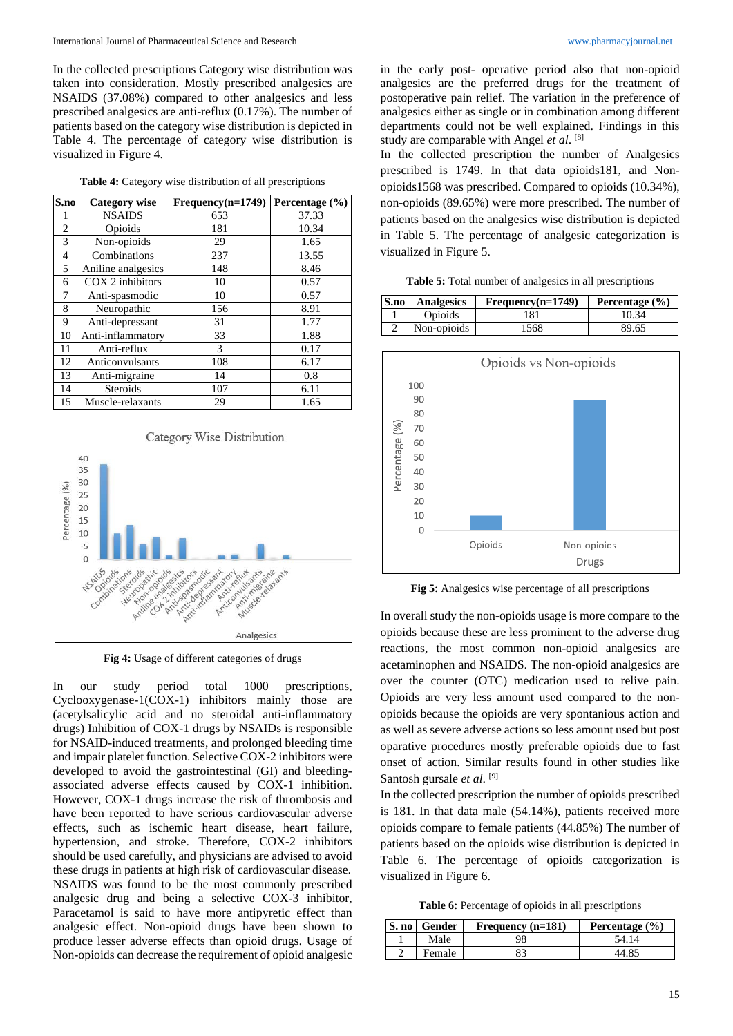In the collected prescriptions Category wise distribution was taken into consideration. Mostly prescribed analgesics are NSAIDS (37.08%) compared to other analgesics and less prescribed analgesics are anti-reflux (0.17%). The number of patients based on the category wise distribution is depicted in Table 4. The percentage of category wise distribution is visualized in Figure 4.

| Table 4: Category wise distribution of all prescriptions |  |  |  |  |
|----------------------------------------------------------|--|--|--|--|
|----------------------------------------------------------|--|--|--|--|

| S.no           | <b>Category wise</b> | Frequency(n=1749) | Percentage $(\% )$ |
|----------------|----------------------|-------------------|--------------------|
| I              | <b>NSAIDS</b>        | 653               | 37.33              |
| 2              | Opioids              | 181               | 10.34              |
| 3              | Non-opioids          | 29                | 1.65               |
| $\overline{4}$ | Combinations         | 237               | 13.55              |
| 5              | Aniline analgesics   | 148               | 8.46               |
| 6              | COX 2 inhibitors     | 10                | 0.57               |
| 7              | Anti-spasmodic       | 10                | 0.57               |
| 8              | Neuropathic          | 156               | 8.91               |
| 9              | Anti-depressant      | 31                | 1.77               |
| 10             | Anti-inflammatory    | 33                | 1.88               |
| 11             | Anti-reflux          | 3                 | 0.17               |
| 12             | Anticonvulsants      | 108               | 6.17               |
| 13             | Anti-migraine        | 14                | 0.8                |
| 14             | Steroids             | 107               | 6.11               |
| 15             | Muscle-relaxants     | 29                | 1.65               |



**Fig 4:** Usage of different categories of drugs

In our study period total 1000 prescriptions, Cyclooxygenase-1(COX-1) inhibitors mainly those are (acetylsalicylic acid and no steroidal anti-inflammatory drugs) Inhibition of COX-1 drugs by NSAIDs is responsible for NSAID-induced treatments, and prolonged bleeding time and impair platelet function. Selective COX-2 inhibitors were developed to avoid the gastrointestinal (GI) and bleedingassociated adverse effects caused by COX-1 inhibition. However, COX-1 drugs increase the risk of thrombosis and have been reported to have serious cardiovascular adverse effects, such as ischemic heart disease, heart failure, hypertension, and stroke. Therefore, COX-2 inhibitors should be used carefully, and physicians are advised to avoid these drugs in patients at high risk of cardiovascular disease. NSAIDS was found to be the most commonly prescribed analgesic drug and being a selective COX-3 inhibitor, Paracetamol is said to have more antipyretic effect than analgesic effect. Non-opioid drugs have been shown to produce lesser adverse effects than opioid drugs. Usage of Non-opioids can decrease the requirement of opioid analgesic

in the early post- operative period also that non-opioid analgesics are the preferred drugs for the treatment of postoperative pain relief. The variation in the preference of analgesics either as single or in combination among different departments could not be well explained. Findings in this study are comparable with Angel *et al*. [8]

In the collected prescription the number of Analgesics prescribed is 1749. In that data opioids181, and Nonopioids1568 was prescribed. Compared to opioids (10.34%), non-opioids (89.65%) were more prescribed. The number of patients based on the analgesics wise distribution is depicted in Table 5. The percentage of analgesic categorization is visualized in Figure 5.

**Table 5:** Total number of analgesics in all prescriptions

| S.no | <b>Analgesics</b> | $Frequency(n=1749)$ | Percentage $(\% )$ |
|------|-------------------|---------------------|--------------------|
|      | Opioids           | 181.                | 10.34              |
|      | Non-opioids       | 1568                | 89.65              |



**Fig 5:** Analgesics wise percentage of all prescriptions

In overall study the non-opioids usage is more compare to the opioids because these are less prominent to the adverse drug reactions, the most common non-opioid analgesics are acetaminophen and NSAIDS. The non-opioid analgesics are over the counter (OTC) medication used to relive pain. Opioids are very less amount used compared to the nonopioids because the opioids are very spontanious action and as well as severe adverse actions so less amount used but post oparative procedures mostly preferable opioids due to fast onset of action. Similar results found in other studies like Santosh gursale *et al*. [9]

In the collected prescription the number of opioids prescribed is 181. In that data male (54.14%), patients received more opioids compare to female patients (44.85%) The number of patients based on the opioids wise distribution is depicted in Table 6. The percentage of opioids categorization is visualized in Figure 6.

**Table 6:** Percentage of opioids in all prescriptions

|  | S. no Gender | Frequency $(n=181)$ | Percentage $(\% )$ |
|--|--------------|---------------------|--------------------|
|  | Male         |                     | 54 14              |
|  | Female       |                     | 44.85              |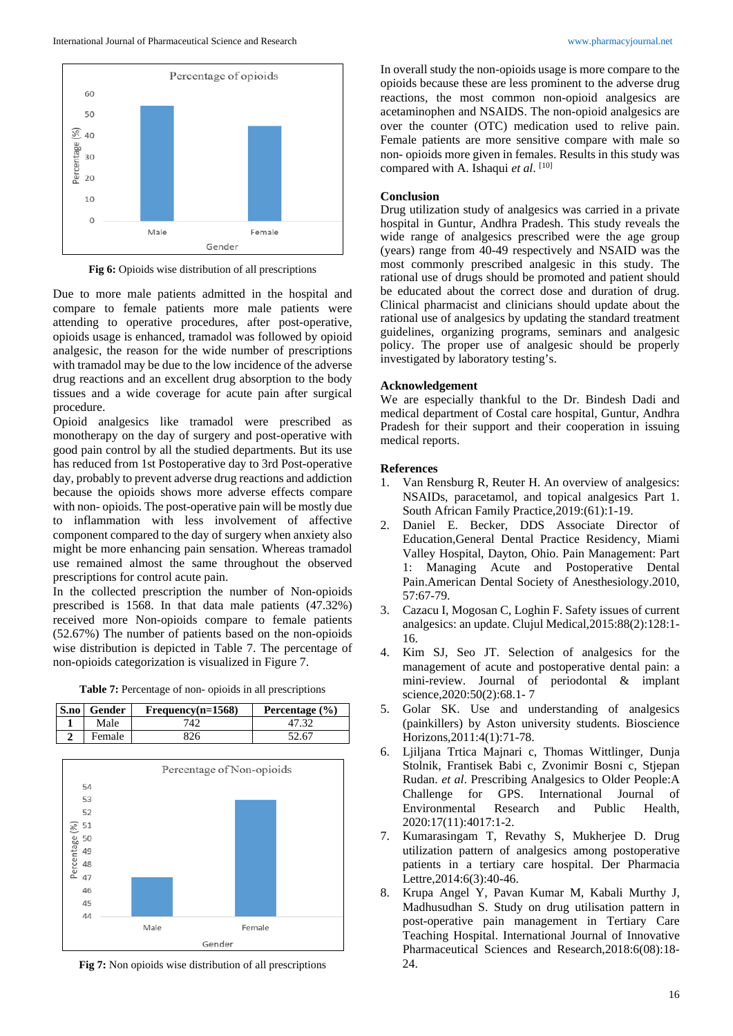

**Fig 6:** Opioids wise distribution of all prescriptions

Due to more male patients admitted in the hospital and compare to female patients more male patients were attending to operative procedures, after post-operative, opioids usage is enhanced, tramadol was followed by opioid analgesic, the reason for the wide number of prescriptions with tramadol may be due to the low incidence of the adverse drug reactions and an excellent drug absorption to the body tissues and a wide coverage for acute pain after surgical procedure.

Opioid analgesics like tramadol were prescribed as monotherapy on the day of surgery and post-operative with good pain control by all the studied departments. But its use has reduced from 1st Postoperative day to 3rd Post-operative day, probably to prevent adverse drug reactions and addiction because the opioids shows more adverse effects compare with non- opioids. The post-operative pain will be mostly due to inflammation with less involvement of affective component compared to the day of surgery when anxiety also might be more enhancing pain sensation. Whereas tramadol use remained almost the same throughout the observed prescriptions for control acute pain.

In the collected prescription the number of Non-opioids prescribed is 1568. In that data male patients (47.32%) received more Non-opioids compare to female patients (52.67%) The number of patients based on the non-opioids wise distribution is depicted in Table 7. The percentage of non-opioids categorization is visualized in Figure 7.

**Table 7:** Percentage of non- opioids in all prescriptions

| S.no | Gender | $Frequency(n=1568)$ | Percentage $(\% )$ |
|------|--------|---------------------|--------------------|
|      | Male   | $74^\circ$          |                    |
|      | Female |                     | 52. 67             |



**Fig 7:** Non opioids wise distribution of all prescriptions

In overall study the non-opioids usage is more compare to the opioids because these are less prominent to the adverse drug reactions, the most common non-opioid analgesics are acetaminophen and NSAIDS. The non-opioid analgesics are over the counter (OTC) medication used to relive pain. Female patients are more sensitive compare with male so non- opioids more given in females. Results in this study was compared with A. Ishaqui et al. [10]

#### **Conclusion**

Drug utilization study of analgesics was carried in a private hospital in Guntur, Andhra Pradesh. This study reveals the wide range of analgesics prescribed were the age group (years) range from 40-49 respectively and NSAID was the most commonly prescribed analgesic in this study. The rational use of drugs should be promoted and patient should be educated about the correct dose and duration of drug. Clinical pharmacist and clinicians should update about the rational use of analgesics by updating the standard treatment guidelines, organizing programs, seminars and analgesic policy. The proper use of analgesic should be properly investigated by laboratory testing's.

#### **Acknowledgement**

We are especially thankful to the Dr. Bindesh Dadi and medical department of Costal care hospital, Guntur, Andhra Pradesh for their support and their cooperation in issuing medical reports.

#### **References**

- 1. Van Rensburg R, Reuter H. An overview of analgesics: NSAIDs, paracetamol, and topical analgesics Part 1. South African Family Practice,2019:(61):1-19.
- 2. Daniel E. Becker, DDS Associate Director of Education,General Dental Practice Residency, Miami Valley Hospital, Dayton, Ohio. Pain Management: Part 1: Managing Acute and Postoperative Dental Pain.American Dental Society of Anesthesiology.2010, 57:67-79.
- 3. Cazacu I, Mogosan C, Loghin F. Safety issues of current analgesics: an update. Clujul Medical,2015:88(2):128:1- 16.
- 4. Kim SJ, Seo JT. Selection of analgesics for the management of acute and postoperative dental pain: a mini-review. Journal of periodontal & implant science,2020:50(2):68.1- 7
- 5. Golar SK. Use and understanding of analgesics (painkillers) by Aston university students. Bioscience Horizons,2011:4(1):71-78.
- 6. Ljiljana Trtica Majnari c, Thomas Wittlinger, Dunja Stolnik, Frantisek Babi c, Zvonimir Bosni c, Stjepan Rudan. *et al*. Prescribing Analgesics to Older People:A Challenge for GPS. International Journal of Environmental Research and Public Health, 2020:17(11):4017:1-2.
- 7. Kumarasingam T, Revathy S, Mukherjee D. Drug utilization pattern of analgesics among postoperative patients in a tertiary care hospital. Der Pharmacia Lettre,2014:6(3):40-46.
- 8. Krupa Angel Y, Pavan Kumar M, Kabali Murthy J, Madhusudhan S. Study on drug utilisation pattern in post-operative pain management in Tertiary Care Teaching Hospital. International Journal of Innovative Pharmaceutical Sciences and Research,2018:6(08):18- 24.